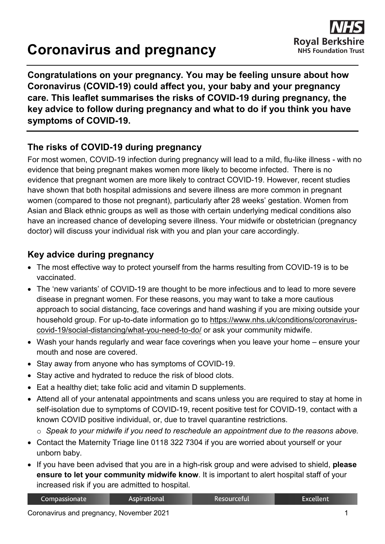# **Coronavirus and pregnancy**

**Congratulations on your pregnancy. You may be feeling unsure about how Coronavirus (COVID-19) could affect you, your baby and your pregnancy care. This leaflet summarises the risks of COVID-19 during pregnancy, the key advice to follow during pregnancy and what to do if you think you have symptoms of COVID-19.**

#### **The risks of COVID-19 during pregnancy**

For most women, COVID-19 infection during pregnancy will lead to a mild, flu-like illness - with no evidence that being pregnant makes women more likely to become infected. There is no evidence that pregnant women are more likely to contract COVID-19. However, recent studies have shown that both hospital admissions and severe illness are more common in pregnant women (compared to those not pregnant), particularly after 28 weeks' gestation. Women from Asian and Black ethnic groups as well as those with certain underlying medical conditions also have an increased chance of developing severe illness. Your midwife or obstetrician (pregnancy doctor) will discuss your individual risk with you and plan your care accordingly.

#### **Key advice during pregnancy**

- The most effective way to protect yourself from the harms resulting from COVID-19 is to be vaccinated.
- The 'new variants' of COVID-19 are thought to be more infectious and to lead to more severe disease in pregnant women. For these reasons, you may want to take a more cautious approach to social distancing, face coverings and hand washing if you are mixing outside your household group. For up-to-date information go to [https://www.nhs.uk/conditions/coronavirus](https://www.nhs.uk/conditions/coronavirus-covid-19/social-distancing/what-you-need-to-do/)[covid-19/social-distancing/what-you-need-to-do/](https://www.nhs.uk/conditions/coronavirus-covid-19/social-distancing/what-you-need-to-do/) or ask your community midwife.
- Wash your hands regularly and wear face coverings when you leave your home ensure your mouth and nose are covered.
- Stay away from anyone who has symptoms of COVID-19.
- Stay active and hydrated to reduce the risk of blood clots.
- Eat a healthy diet; take folic acid and vitamin D supplements.
- Attend all of your antenatal appointments and scans unless you are required to stay at home in self-isolation due to symptoms of COVID-19, recent positive test for COVID-19, contact with a known COVID positive individual, or, due to travel quarantine restrictions.
	- o *Speak to your midwife if you need to reschedule an appointment due to the reasons above.*
- Contact the Maternity Triage line 0118 322 7304 if you are worried about yourself or your unborn baby.
- If you have been advised that you are in a high-risk group and were advised to shield, **please ensure to let your community midwife know**. It is important to alert hospital staff of your increased risk if you are admitted to hospital.

| Compassionate | Aspirational | <b>Resourceful</b> | <b>Excellent</b> |
|---------------|--------------|--------------------|------------------|
|---------------|--------------|--------------------|------------------|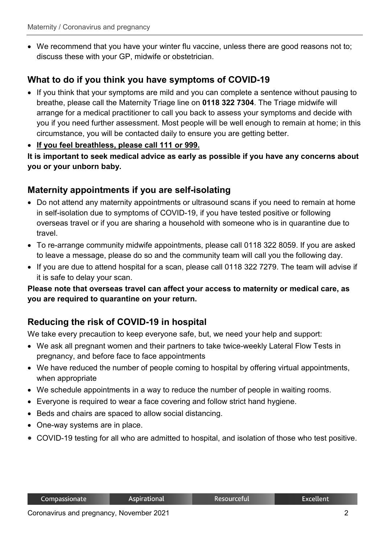• We recommend that you have your winter flu vaccine, unless there are good reasons not to; discuss these with your GP, midwife or obstetrician.

#### **What to do if you think you have symptoms of COVID-19**

- If you think that your symptoms are mild and you can complete a sentence without pausing to breathe, please call the Maternity Triage line on **0118 322 7304**. The Triage midwife will arrange for a medical practitioner to call you back to assess your symptoms and decide with you if you need further assessment. Most people will be well enough to remain at home; in this circumstance, you will be contacted daily to ensure you are getting better.
- **If you feel breathless, please call 111 or 999.**

**It is important to seek medical advice as early as possible if you have any concerns about you or your unborn baby.**

#### **Maternity appointments if you are self-isolating**

- Do not attend any maternity appointments or ultrasound scans if you need to remain at home in self-isolation due to symptoms of COVID-19, if you have tested positive or following overseas travel or if you are sharing a household with someone who is in quarantine due to travel.
- To re-arrange community midwife appointments, please call 0118 322 8059. If you are asked to leave a message, please do so and the community team will call you the following day.
- If you are due to attend hospital for a scan, please call 0118 322 7279. The team will advise if it is safe to delay your scan.

**Please note that overseas travel can affect your access to maternity or medical care, as you are required to quarantine on your return.**

# **Reducing the risk of COVID-19 in hospital**

We take every precaution to keep everyone safe, but, we need your help and support:

- We ask all pregnant women and their partners to take twice-weekly Lateral Flow Tests in pregnancy, and before face to face appointments
- We have reduced the number of people coming to hospital by offering virtual appointments, when appropriate
- We schedule appointments in a way to reduce the number of people in waiting rooms.
- Everyone is required to wear a face covering and follow strict hand hygiene.
- Beds and chairs are spaced to allow social distancing.
- One-way systems are in place.
- COVID-19 testing for all who are admitted to hospital, and isolation of those who test positive.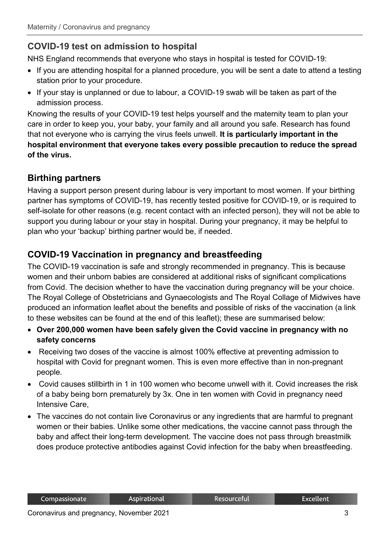# **COVID-19 test on admission to hospital**

NHS England recommends that everyone who stays in hospital is tested for COVID-19:

- If you are attending hospital for a planned procedure, you will be sent a date to attend a testing station prior to your procedure.
- If your stay is unplanned or due to labour, a COVID-19 swab will be taken as part of the admission process.

Knowing the results of your COVID-19 test helps yourself and the maternity team to plan your care in order to keep you, your baby, your family and all around you safe. Research has found that not everyone who is carrying the virus feels unwell. **It is particularly important in the hospital environment that everyone takes every possible precaution to reduce the spread of the virus.** 

#### **Birthing partners**

Having a support person present during labour is very important to most women. If your birthing partner has symptoms of COVID-19, has recently tested positive for COVID-19, or is required to self-isolate for other reasons (e.g. recent contact with an infected person), they will not be able to support you during labour or your stay in hospital. During your pregnancy, it may be helpful to plan who your 'backup' birthing partner would be, if needed.

#### **COVID-19 Vaccination in pregnancy and breastfeeding**

The COVID-19 vaccination is safe and strongly recommended in pregnancy. This is because women and their unborn babies are considered at additional risks of significant complications from Covid. The decision whether to have the vaccination during pregnancy will be your choice. The Royal College of Obstetricians and Gynaecologists and The Royal Collage of Midwives have produced an information leaflet about the benefits and possible of risks of the vaccination (a link to these websites can be found at the end of this leaflet); these are summarised below:

- **Over 200,000 women have been safely given the Covid vaccine in pregnancy with no safety concerns**
- Receiving two doses of the vaccine is almost 100% effective at preventing admission to hospital with Covid for pregnant women. This is even more effective than in non-pregnant people.
- Covid causes stillbirth in 1 in 100 women who become unwell with it. Covid increases the risk of a baby being born prematurely by 3x. One in ten women with Covid in pregnancy need Intensive Care,
- The vaccines do not contain live Coronavirus or any ingredients that are harmful to pregnant women or their babies. Unlike some other medications, the vaccine cannot pass through the baby and affect their long-term development. The vaccine does not pass through breastmilk does produce protective antibodies against Covid infection for the baby when breastfeeding.